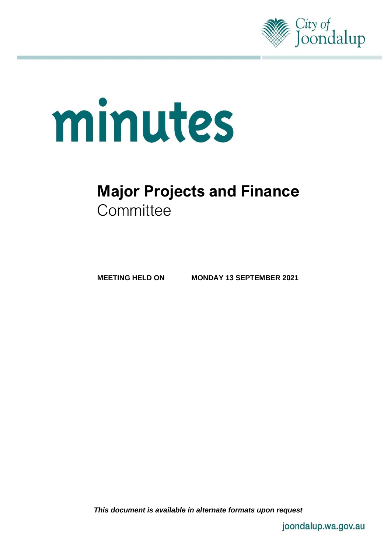

# minutes

# **Major Projects and Finance Committee**

**MEETING HELD ON MONDAY 13 SEPTEMBER 2021**

*This document is available in alternate formats upon request*

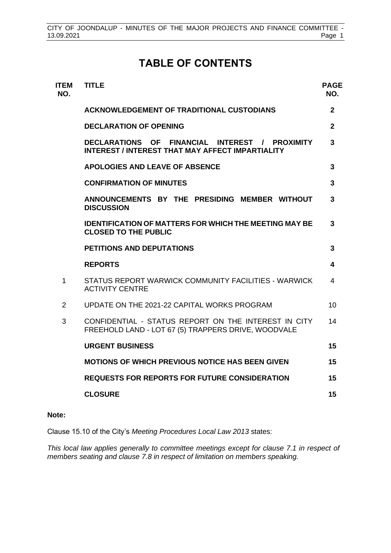# **TABLE OF CONTENTS**

| <b>ITEM</b><br>NO. | <b>TITLE</b>                                                                                                | <b>PAGE</b><br>NO. |
|--------------------|-------------------------------------------------------------------------------------------------------------|--------------------|
|                    | <b>ACKNOWLEDGEMENT OF TRADITIONAL CUSTODIANS</b>                                                            | $\overline{2}$     |
|                    | <b>DECLARATION OF OPENING</b>                                                                               | $\overline{2}$     |
|                    | DECLARATIONS OF FINANCIAL INTEREST / PROXIMITY<br><b>INTEREST / INTEREST THAT MAY AFFECT IMPARTIALITY</b>   | 3                  |
|                    | <b>APOLOGIES AND LEAVE OF ABSENCE</b>                                                                       | 3                  |
|                    | <b>CONFIRMATION OF MINUTES</b>                                                                              | 3                  |
|                    | ANNOUNCEMENTS BY THE PRESIDING MEMBER WITHOUT<br><b>DISCUSSION</b>                                          | 3                  |
|                    | <b>IDENTIFICATION OF MATTERS FOR WHICH THE MEETING MAY BE</b><br><b>CLOSED TO THE PUBLIC</b>                | 3                  |
|                    | <b>PETITIONS AND DEPUTATIONS</b>                                                                            | 3                  |
|                    | <b>REPORTS</b>                                                                                              | 4                  |
| 1                  | STATUS REPORT WARWICK COMMUNITY FACILITIES - WARWICK<br><b>ACTIVITY CENTRE</b>                              | 4                  |
| $\overline{2}$     | UPDATE ON THE 2021-22 CAPITAL WORKS PROGRAM                                                                 | 10                 |
| 3                  | CONFIDENTIAL - STATUS REPORT ON THE INTEREST IN CITY<br>FREEHOLD LAND - LOT 67 (5) TRAPPERS DRIVE, WOODVALE | 14                 |
|                    | <b>URGENT BUSINESS</b>                                                                                      | 15                 |
|                    | <b>MOTIONS OF WHICH PREVIOUS NOTICE HAS BEEN GIVEN</b>                                                      | 15                 |
|                    | <b>REQUESTS FOR REPORTS FOR FUTURE CONSIDERATION</b>                                                        | 15                 |
|                    | <b>CLOSURE</b>                                                                                              | 15                 |

#### **Note:**

Clause 15.10 of the City's *Meeting Procedures Local Law 2013* states:

*This local law applies generally to committee meetings except for clause 7.1 in respect of members seating and clause 7.8 in respect of limitation on members speaking.*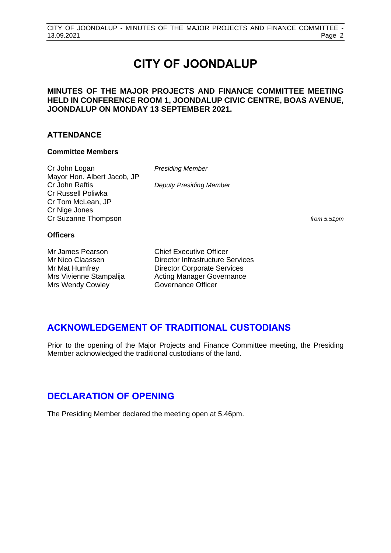# **CITY OF JOONDALUP**

#### **MINUTES OF THE MAJOR PROJECTS AND FINANCE COMMITTEE MEETING HELD IN CONFERENCE ROOM 1, JOONDALUP CIVIC CENTRE, BOAS AVENUE, JOONDALUP ON MONDAY 13 SEPTEMBER 2021.**

#### **ATTENDANCE**

#### **Committee Members**

Cr John Logan *Presiding Member* Mayor Hon. Albert Jacob, JP Cr John Raftis *Deputy Presiding Member* Cr Russell Poliwka Cr Tom McLean, JP Cr Nige Jones Cr Suzanne Thompson *from 5.51pm*

#### **Officers**

Mr James Pearson Chief Executive Officer Mrs Wendy Cowley

Mr Nico Claassen Director Infrastructure Services Mr Mat Humfrey Director Corporate Services Mrs Vivienne Stampalija and Acting Manager Governance<br>
Mrs Wendy Cowley<br>
Governance Officer

# <span id="page-2-0"></span>**ACKNOWLEDGEMENT OF TRADITIONAL CUSTODIANS**

Prior to the opening of the Major Projects and Finance Committee meeting, the Presiding Member acknowledged the traditional custodians of the land.

# <span id="page-2-1"></span>**DECLARATION OF OPENING**

The Presiding Member declared the meeting open at 5.46pm.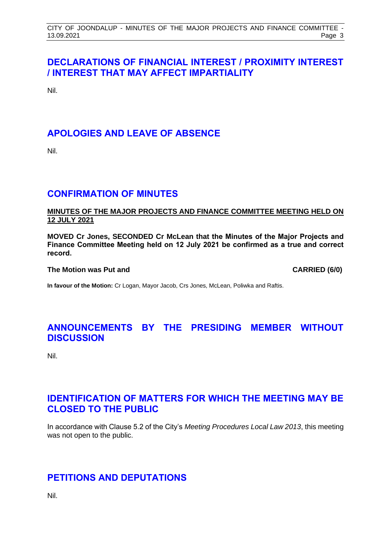# <span id="page-3-0"></span>**DECLARATIONS OF FINANCIAL INTEREST / PROXIMITY INTEREST / INTEREST THAT MAY AFFECT IMPARTIALITY**

Nil.

# <span id="page-3-1"></span>**APOLOGIES AND LEAVE OF ABSENCE**

Nil.

# <span id="page-3-2"></span>**CONFIRMATION OF MINUTES**

#### **MINUTES OF THE MAJOR PROJECTS AND FINANCE COMMITTEE MEETING HELD ON 12 JULY 2021**

**MOVED Cr Jones, SECONDED Cr McLean that the Minutes of the Major Projects and Finance Committee Meeting held on 12 July 2021 be confirmed as a true and correct record.**

#### **The Motion was Put and CARRIED (6/0)**

**In favour of the Motion:** Cr Logan, Mayor Jacob, Crs Jones, McLean, Poliwka and Raftis.

# <span id="page-3-3"></span>**ANNOUNCEMENTS BY THE PRESIDING MEMBER WITHOUT DISCUSSION**

Nil.

# <span id="page-3-4"></span>**IDENTIFICATION OF MATTERS FOR WHICH THE MEETING MAY BE CLOSED TO THE PUBLIC**

In accordance with Clause 5.2 of the City's *Meeting Procedures Local Law 2013*, this meeting was not open to the public.

# <span id="page-3-5"></span>**PETITIONS AND DEPUTATIONS**

Nil.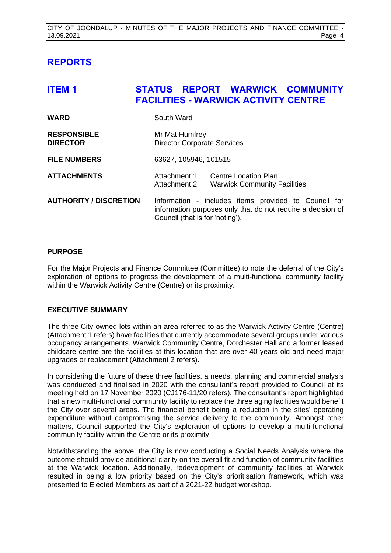# <span id="page-4-0"></span>**REPORTS**

<span id="page-4-1"></span>

| <b>ITEM1</b>                          | STATUS REPORT WARWICK COMMUNITY<br><b>FACILITIES - WARWICK ACTIVITY CENTRE</b>                                                                         |
|---------------------------------------|--------------------------------------------------------------------------------------------------------------------------------------------------------|
| <b>WARD</b>                           | South Ward                                                                                                                                             |
| <b>RESPONSIBLE</b><br><b>DIRECTOR</b> | Mr Mat Humfrey<br><b>Director Corporate Services</b>                                                                                                   |
| <b>FILE NUMBERS</b>                   | 63627, 105946, 101515                                                                                                                                  |
| <b>ATTACHMENTS</b>                    | Attachment 1<br>Centre Location Plan<br>Attachment 2<br><b>Warwick Community Facilities</b>                                                            |
| <b>AUTHORITY / DISCRETION</b>         | Information - includes items provided to Council for<br>information purposes only that do not require a decision of<br>Council (that is for 'noting'). |

#### **PURPOSE**

For the Major Projects and Finance Committee (Committee) to note the deferral of the City's exploration of options to progress the development of a multi-functional community facility within the Warwick Activity Centre (Centre) or its proximity.

#### **EXECUTIVE SUMMARY**

The three City-owned lots within an area referred to as the Warwick Activity Centre (Centre) (Attachment 1 refers) have facilities that currently accommodate several groups under various occupancy arrangements. Warwick Community Centre, Dorchester Hall and a former leased childcare centre are the facilities at this location that are over 40 years old and need major upgrades or replacement (Attachment 2 refers).

In considering the future of these three facilities, a needs, planning and commercial analysis was conducted and finalised in 2020 with the consultant's report provided to Council at its meeting held on 17 November 2020 (CJ176-11/20 refers). The consultant's report highlighted that a new multi-functional community facility to replace the three aging facilities would benefit the City over several areas. The financial benefit being a reduction in the sites' operating expenditure without compromising the service delivery to the community. Amongst other matters, Council supported the City's exploration of options to develop a multi-functional community facility within the Centre or its proximity.

Notwithstanding the above, the City is now conducting a Social Needs Analysis where the outcome should provide additional clarity on the overall fit and function of community facilities at the Warwick location. Additionally, redevelopment of community facilities at Warwick resulted in being a low priority based on the City's prioritisation framework, which was presented to Elected Members as part of a 2021-22 budget workshop.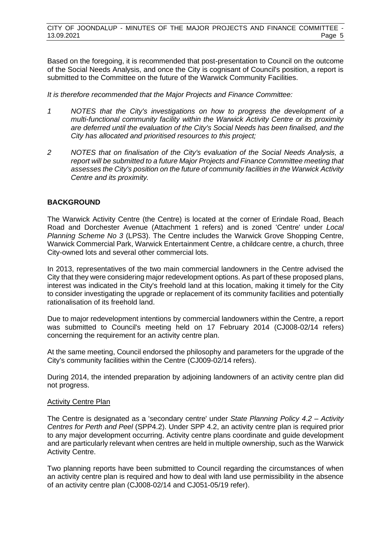Based on the foregoing, it is recommended that post-presentation to Council on the outcome of the Social Needs Analysis, and once the City is cognisant of Council's position, a report is submitted to the Committee on the future of the Warwick Community Facilities.

*It is therefore recommended that the Major Projects and Finance Committee:*

- *1 NOTES that the City's investigations on how to progress the development of a multi-functional community facility within the Warwick Activity Centre or its proximity are deferred until the evaluation of the City's Social Needs has been finalised, and the City has allocated and prioritised resources to this project;*
- *2 NOTES that on finalisation of the City's evaluation of the Social Needs Analysis, a report will be submitted to a future Major Projects and Finance Committee meeting that assesses the City's position on the future of community facilities in the Warwick Activity Centre and its proximity.*

#### **BACKGROUND**

The Warwick Activity Centre (the Centre) is located at the corner of Erindale Road, Beach Road and Dorchester Avenue (Attachment 1 refers) and is zoned 'Centre' under *Local Planning Scheme No 3* (LPS3). The Centre includes the Warwick Grove Shopping Centre, Warwick Commercial Park, Warwick Entertainment Centre, a childcare centre, a church, three City-owned lots and several other commercial lots.

In 2013, representatives of the two main commercial landowners in the Centre advised the City that they were considering major redevelopment options. As part of these proposed plans, interest was indicated in the City's freehold land at this location, making it timely for the City to consider investigating the upgrade or replacement of its community facilities and potentially rationalisation of its freehold land.

Due to major redevelopment intentions by commercial landowners within the Centre, a report was submitted to Council's meeting held on 17 February 2014 (CJ008-02/14 refers) concerning the requirement for an activity centre plan.

At the same meeting, Council endorsed the philosophy and parameters for the upgrade of the City's community facilities within the Centre (CJ009-02/14 refers).

During 2014, the intended preparation by adjoining landowners of an activity centre plan did not progress.

#### Activity Centre Plan

The Centre is designated as a 'secondary centre' under *State Planning Policy 4.2 – Activity Centres for Perth and Peel* (SPP4.2). Under SPP 4.2, an activity centre plan is required prior to any major development occurring. Activity centre plans coordinate and guide development and are particularly relevant when centres are held in multiple ownership, such as the Warwick Activity Centre.

Two planning reports have been submitted to Council regarding the circumstances of when an activity centre plan is required and how to deal with land use permissibility in the absence of an activity centre plan (CJ008-02/14 and CJ051-05/19 refer).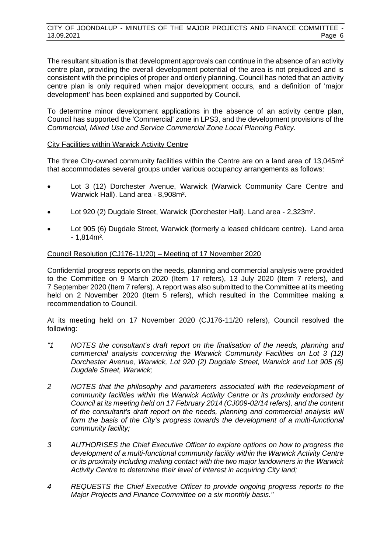The resultant situation is that development approvals can continue in the absence of an activity centre plan, providing the overall development potential of the area is not prejudiced and is consistent with the principles of proper and orderly planning. Council has noted that an activity centre plan is only required when major development occurs, and a definition of 'major development' has been explained and supported by Council.

To determine minor development applications in the absence of an activity centre plan, Council has supported the 'Commercial' zone in LPS3, and the development provisions of the *Commercial, Mixed Use and Service Commercial Zone Local Planning Policy.*

#### City Facilities within Warwick Activity Centre

The three City-owned community facilities within the Centre are on a land area of 13,045m<sup>2</sup> that accommodates several groups under various occupancy arrangements as follows:

- Lot 3 (12) Dorchester Avenue, Warwick (Warwick Community Care Centre and Warwick Hall). Land area - 8,908m².
- Lot 920 (2) Dugdale Street, Warwick (Dorchester Hall). Land area 2,323m².
- Lot 905 (6) Dugdale Street, Warwick (formerly a leased childcare centre). Land area - 1,814m².

#### Council Resolution (CJ176-11/20) – Meeting of 17 November 2020

Confidential progress reports on the needs, planning and commercial analysis were provided to the Committee on 9 March 2020 (Item 17 refers), 13 July 2020 (Item 7 refers), and 7 September 2020 (Item 7 refers). A report was also submitted to the Committee at its meeting held on 2 November 2020 (Item 5 refers), which resulted in the Committee making a recommendation to Council.

At its meeting held on 17 November 2020 (CJ176-11/20 refers), Council resolved the following:

- *"1 NOTES the consultant's draft report on the finalisation of the needs, planning and commercial analysis concerning the Warwick Community Facilities on Lot 3 (12) Dorchester Avenue, Warwick, Lot 920 (2) Dugdale Street, Warwick and Lot 905 (6) Dugdale Street, Warwick;*
- *2 NOTES that the philosophy and parameters associated with the redevelopment of community facilities within the Warwick Activity Centre or its proximity endorsed by Council at its meeting held on 17 February 2014 (CJ009-02/14 refers), and the content of the consultant's draft report on the needs, planning and commercial analysis will form the basis of the City's progress towards the development of a multi-functional community facility;*
- *3 AUTHORISES the Chief Executive Officer to explore options on how to progress the development of a multi-functional community facility within the Warwick Activity Centre or its proximity including making contact with the two major landowners in the Warwick Activity Centre to determine their level of interest in acquiring City land;*
- *4 REQUESTS the Chief Executive Officer to provide ongoing progress reports to the Major Projects and Finance Committee on a six monthly basis."*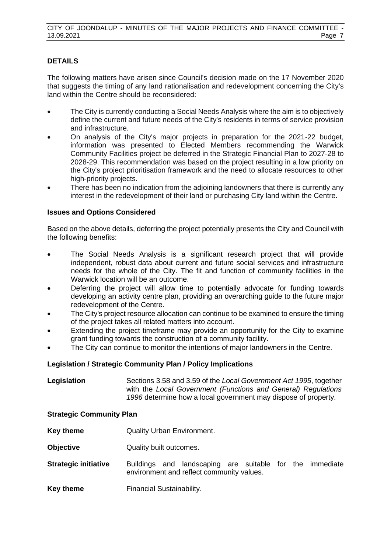#### **DETAILS**

The following matters have arisen since Council's decision made on the 17 November 2020 that suggests the timing of any land rationalisation and redevelopment concerning the City's land within the Centre should be reconsidered:

- The City is currently conducting a Social Needs Analysis where the aim is to objectively define the current and future needs of the City's residents in terms of service provision and infrastructure.
- On analysis of the City's major projects in preparation for the 2021-22 budget, information was presented to Elected Members recommending the Warwick Community Facilities project be deferred in the Strategic Financial Plan to 2027-28 to 2028-29. This recommendation was based on the project resulting in a low priority on the City's project prioritisation framework and the need to allocate resources to other high-priority projects.
- There has been no indication from the adjoining landowners that there is currently any interest in the redevelopment of their land or purchasing City land within the Centre.

#### **Issues and Options Considered**

Based on the above details, deferring the project potentially presents the City and Council with the following benefits:

- The Social Needs Analysis is a significant research project that will provide independent, robust data about current and future social services and infrastructure needs for the whole of the City. The fit and function of community facilities in the Warwick location will be an outcome.
- Deferring the project will allow time to potentially advocate for funding towards developing an activity centre plan, providing an overarching guide to the future major redevelopment of the Centre.
- The City's project resource allocation can continue to be examined to ensure the timing of the project takes all related matters into account.
- Extending the project timeframe may provide an opportunity for the City to examine grant funding towards the construction of a community facility.
- The City can continue to monitor the intentions of major landowners in the Centre.

#### **Legislation / Strategic Community Plan / Policy Implications**

| Legislation | Sections 3.58 and 3.59 of the Local Government Act 1995, together |
|-------------|-------------------------------------------------------------------|
|             | with the Local Government (Functions and General) Regulations     |
|             | 1996 determine how a local government may dispose of property.    |

#### **Strategic Community Plan**

- **Key theme Quality Urban Environment.**
- **Objective** Quality built outcomes.
- **Strategic initiative** Buildings and landscaping are suitable for the immediate environment and reflect community values.
- **Key theme** Financial Sustainability.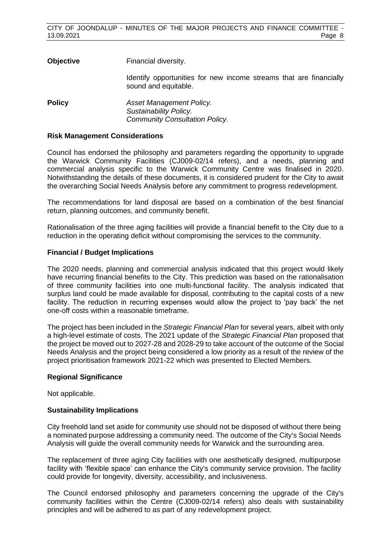| <b>Objective</b> | Financial diversity.                                                                        |
|------------------|---------------------------------------------------------------------------------------------|
|                  | Identify opportunities for new income streams that are financially<br>sound and equitable.  |
| <b>Policy</b>    | Asset Management Policy.<br>Sustainability Policy.<br><b>Community Consultation Policy.</b> |

#### **Risk Management Considerations**

Council has endorsed the philosophy and parameters regarding the opportunity to upgrade the Warwick Community Facilities (CJ009-02/14 refers), and a needs, planning and commercial analysis specific to the Warwick Community Centre was finalised in 2020. Notwithstanding the details of these documents, it is considered prudent for the City to await the overarching Social Needs Analysis before any commitment to progress redevelopment.

The recommendations for land disposal are based on a combination of the best financial return, planning outcomes, and community benefit.

Rationalisation of the three aging facilities will provide a financial benefit to the City due to a reduction in the operating deficit without compromising the services to the community.

#### **Financial / Budget Implications**

The 2020 needs, planning and commercial analysis indicated that this project would likely have recurring financial benefits to the City. This prediction was based on the rationalisation of three community facilities into one multi-functional facility. The analysis indicated that surplus land could be made available for disposal, contributing to the capital costs of a new facility. The reduction in recurring expenses would allow the project to 'pay back' the net one-off costs within a reasonable timeframe.

The project has been included in the *Strategic Financial Plan* for several years, albeit with only a high-level estimate of costs. The 2021 update of the *Strategic Financial Plan* proposed that the project be moved out to 2027-28 and 2028-29 to take account of the outcome of the Social Needs Analysis and the project being considered a low priority as a result of the review of the project prioritisation framework 2021-22 which was presented to Elected Members.

#### **Regional Significance**

Not applicable.

#### **Sustainability Implications**

City freehold land set aside for community use should not be disposed of without there being a nominated purpose addressing a community need. The outcome of the City's Social Needs Analysis will guide the overall community needs for Warwick and the surrounding area.

The replacement of three aging City facilities with one aesthetically designed, multipurpose facility with 'flexible space' can enhance the City's community service provision. The facility could provide for longevity, diversity, accessibility, and inclusiveness.

The Council endorsed philosophy and parameters concerning the upgrade of the City's community facilities within the Centre (CJ009-02/14 refers) also deals with sustainability principles and will be adhered to as part of any redevelopment project.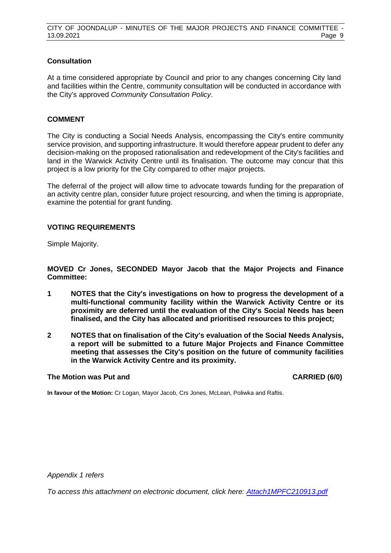#### **Consultation**

At a time considered appropriate by Council and prior to any changes concerning City land and facilities within the Centre, community consultation will be conducted in accordance with the City's approved *Community Consultation Policy*.

#### **COMMENT**

The City is conducting a Social Needs Analysis, encompassing the City's entire community service provision, and supporting infrastructure. It would therefore appear prudent to defer any decision-making on the proposed rationalisation and redevelopment of the City's facilities and land in the Warwick Activity Centre until its finalisation. The outcome may concur that this project is a low priority for the City compared to other major projects.

The deferral of the project will allow time to advocate towards funding for the preparation of an activity centre plan, consider future project resourcing, and when the timing is appropriate, examine the potential for grant funding.

#### **VOTING REQUIREMENTS**

Simple Majority.

**MOVED Cr Jones, SECONDED Mayor Jacob that the Major Projects and Finance Committee:**

- **1 NOTES that the City's investigations on how to progress the development of a multi-functional community facility within the Warwick Activity Centre or its proximity are deferred until the evaluation of the City's Social Needs has been finalised, and the City has allocated and prioritised resources to this project;**
- **2 NOTES that on finalisation of the City's evaluation of the Social Needs Analysis, a report will be submitted to a future Major Projects and Finance Committee meeting that assesses the City's position on the future of community facilities in the Warwick Activity Centre and its proximity.**

#### **The Motion was Put and CARRIED (6/0)**

**In favour of the Motion:** Cr Logan, Mayor Jacob, Crs Jones, McLean, Poliwka and Raftis.

*Appendix 1 refers*

*To access this attachment on electronic document, click here: [Attach1MPFC210913.pdf](http://www.joondalup.wa.gov.au/files/committees/MPFI/2021/Attach1MPFC210913.pdf)*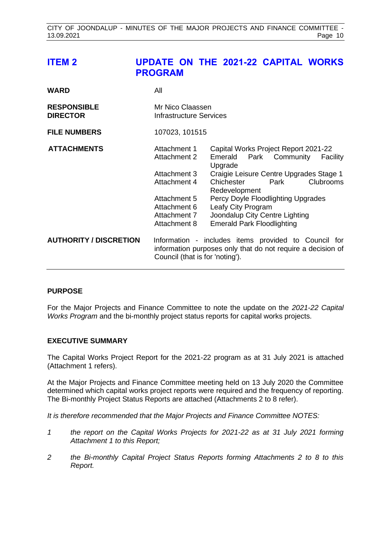# <span id="page-10-0"></span>**ITEM 2 UPDATE ON THE 2021-22 CAPITAL WORKS PROGRAM**

| WARD                                  | All                                                                                                                                                    |                                                                                                                                                                                                                                                                                                                            |
|---------------------------------------|--------------------------------------------------------------------------------------------------------------------------------------------------------|----------------------------------------------------------------------------------------------------------------------------------------------------------------------------------------------------------------------------------------------------------------------------------------------------------------------------|
| <b>RESPONSIBLE</b><br><b>DIRECTOR</b> | Mr Nico Claassen<br>Infrastructure Services                                                                                                            |                                                                                                                                                                                                                                                                                                                            |
| <b>FILE NUMBERS</b>                   | 107023, 101515                                                                                                                                         |                                                                                                                                                                                                                                                                                                                            |
| <b>ATTACHMENTS</b>                    | Attachment 1<br>Attachment 2<br>Attachment 3<br>Attachment 4<br>Attachment 5<br>Attachment 6<br>Attachment 7<br>Attachment 8                           | Capital Works Project Report 2021-22<br>Park Community<br>Emerald<br>Facility<br>Upgrade<br>Craigie Leisure Centre Upgrades Stage 1<br>Clubrooms<br>Chichester<br>Park<br>Redevelopment<br>Percy Doyle Floodlighting Upgrades<br>Leafy City Program<br>Joondalup City Centre Lighting<br><b>Emerald Park Floodlighting</b> |
| <b>AUTHORITY / DISCRETION</b>         | Information - includes items provided to Council for<br>information purposes only that do not require a decision of<br>Council (that is for 'noting'). |                                                                                                                                                                                                                                                                                                                            |

#### **PURPOSE**

For the Major Projects and Finance Committee to note the update on the *2021-22 Capital Works Program* and the bi-monthly project status reports for capital works projects.

#### **EXECUTIVE SUMMARY**

The Capital Works Project Report for the 2021-22 program as at 31 July 2021 is attached (Attachment 1 refers).

At the Major Projects and Finance Committee meeting held on 13 July 2020 the Committee determined which capital works project reports were required and the frequency of reporting. The Bi-monthly Project Status Reports are attached (Attachments 2 to 8 refer).

*It is therefore recommended that the Major Projects and Finance Committee NOTES:*

- *1 the report on the Capital Works Projects for 2021-22 as at 31 July 2021 forming Attachment 1 to this Report;*
- *2 the Bi-monthly Capital Project Status Reports forming Attachments 2 to 8 to this Report.*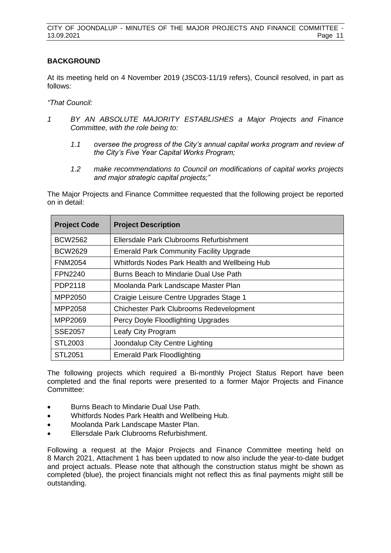#### **BACKGROUND**

At its meeting held on 4 November 2019 (JSC03-11/19 refers), Council resolved, in part as follows:

*"That Council:*

- *1 BY AN ABSOLUTE MAJORITY ESTABLISHES a Major Projects and Finance Committee, with the role being to:*
	- *1.1 oversee the progress of the City's annual capital works program and review of the City's Five Year Capital Works Program;*
	- *1.2 make recommendations to Council on modifications of capital works projects and major strategic capital projects;"*

The Major Projects and Finance Committee requested that the following project be reported on in detail:

| <b>Project Code</b> | <b>Project Description</b>                     |  |  |  |
|---------------------|------------------------------------------------|--|--|--|
| <b>BCW2562</b>      | Ellersdale Park Clubrooms Refurbishment        |  |  |  |
| <b>BCW2629</b>      | <b>Emerald Park Community Facility Upgrade</b> |  |  |  |
| <b>FNM2054</b>      | Whitfords Nodes Park Health and Wellbeing Hub  |  |  |  |
| <b>FPN2240</b>      | Burns Beach to Mindarie Dual Use Path          |  |  |  |
| PDP2118             | Moolanda Park Landscape Master Plan            |  |  |  |
| MPP2050             | Craigie Leisure Centre Upgrades Stage 1        |  |  |  |
| MPP2058             | <b>Chichester Park Clubrooms Redevelopment</b> |  |  |  |
| MPP2069             | Percy Doyle Floodlighting Upgrades             |  |  |  |
| <b>SSE2057</b>      | Leafy City Program                             |  |  |  |
| STL2003             | Joondalup City Centre Lighting                 |  |  |  |
| <b>STL2051</b>      | <b>Emerald Park Floodlighting</b>              |  |  |  |

The following projects which required a Bi-monthly Project Status Report have been completed and the final reports were presented to a former Major Projects and Finance Committee:

- Burns Beach to Mindarie Dual Use Path.
- Whitfords Nodes Park Health and Wellbeing Hub.
- Moolanda Park Landscape Master Plan.
- Ellersdale Park Clubrooms Refurbishment.

Following a request at the Major Projects and Finance Committee meeting held on 8 March 2021, Attachment 1 has been updated to now also include the year-to-date budget and project actuals. Please note that although the construction status might be shown as completed (blue), the project financials might not reflect this as final payments might still be outstanding.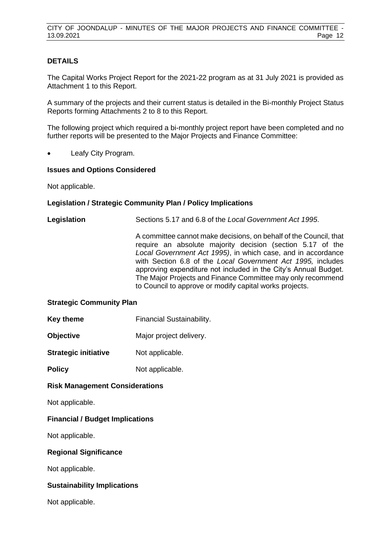#### **DETAILS**

The Capital Works Project Report for the 2021-22 program as at 31 July 2021 is provided as Attachment 1 to this Report.

A summary of the projects and their current status is detailed in the Bi-monthly Project Status Reports forming Attachments 2 to 8 to this Report.

The following project which required a bi-monthly project report have been completed and no further reports will be presented to the Major Projects and Finance Committee:

Leafy City Program.

#### **Issues and Options Considered**

Not applicable.

#### **Legislation / Strategic Community Plan / Policy Implications**

**Legislation** Sections 5.17 and 6.8 of the *Local Government Act 1995*.

A committee cannot make decisions, on behalf of the Council, that require an absolute majority decision (section 5.17 of the *Local Government Act 1995)*, in which case, and in accordance with Section 6.8 of the *Local Government Act 1995,* includes approving expenditure not included in the City's Annual Budget. The Major Projects and Finance Committee may only recommend to Council to approve or modify capital works projects.

#### **Strategic Community Plan**

- **Key theme** Financial Sustainability.
- **Objective** Major project delivery.
- **Strategic initiative** Not applicable.
- **Policy** Not applicable.

#### **Risk Management Considerations**

Not applicable.

#### **Financial / Budget Implications**

Not applicable.

#### **Regional Significance**

Not applicable.

#### **Sustainability Implications**

Not applicable.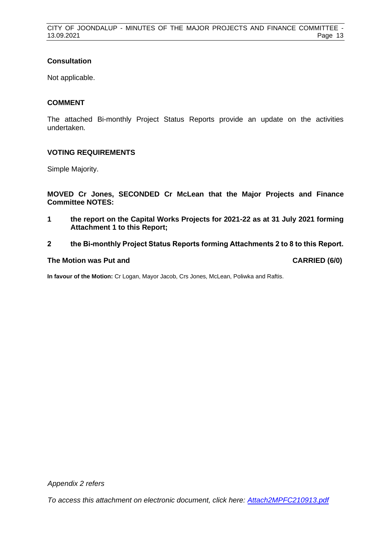#### **Consultation**

Not applicable.

#### **COMMENT**

The attached Bi-monthly Project Status Reports provide an update on the activities undertaken.

#### **VOTING REQUIREMENTS**

Simple Majority.

**MOVED Cr Jones, SECONDED Cr McLean that the Major Projects and Finance Committee NOTES:**

- **1 the report on the Capital Works Projects for 2021-22 as at 31 July 2021 forming Attachment 1 to this Report;**
- **2 the Bi-monthly Project Status Reports forming Attachments 2 to 8 to this Report.**

#### **The Motion was Put and CARRIED (6/0)**

**In favour of the Motion:** Cr Logan, Mayor Jacob, Crs Jones, McLean, Poliwka and Raftis.

*Appendix 2 refers* 

*To access this attachment on electronic document, click here: [Attach2MPFC210913.pdf](http://www.joondalup.wa.gov.au/files/committees/MPFI/2021/Attach2MPFC210913.pdf)*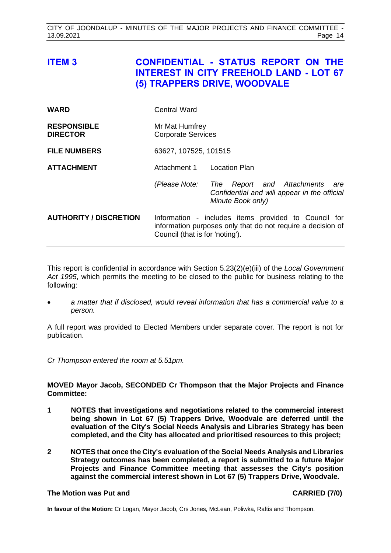# <span id="page-14-0"></span>**ITEM 3 CONFIDENTIAL - STATUS REPORT ON THE INTEREST IN CITY FREEHOLD LAND - LOT 67 (5) TRAPPERS DRIVE, WOODVALE**

| <b>WARD</b>                           | <b>Central Ward</b>                                                                                                                                    |                                                                                                           |  |
|---------------------------------------|--------------------------------------------------------------------------------------------------------------------------------------------------------|-----------------------------------------------------------------------------------------------------------|--|
| <b>RESPONSIBLE</b><br><b>DIRECTOR</b> | Mr Mat Humfrey<br><b>Corporate Services</b>                                                                                                            |                                                                                                           |  |
| <b>FILE NUMBERS</b>                   | 63627, 107525, 101515                                                                                                                                  |                                                                                                           |  |
| <b>ATTACHMENT</b>                     | Attachment 1                                                                                                                                           | <b>Location Plan</b>                                                                                      |  |
|                                       | (Please Note:                                                                                                                                          | Report and Attachments<br>The<br>are<br>Confidential and will appear in the official<br>Minute Book only) |  |
| <b>AUTHORITY / DISCRETION</b>         | Information - includes items provided to Council for<br>information purposes only that do not require a decision of<br>Council (that is for 'noting'). |                                                                                                           |  |

This report is confidential in accordance with Section 5.23(2)(e)(iii) of the *Local Government Act 1995*, which permits the meeting to be closed to the public for business relating to the following:

• *a matter that if disclosed, would reveal information that has a commercial value to a person.*

A full report was provided to Elected Members under separate cover. The report is not for publication.

*Cr Thompson entered the room at 5.51pm.*

#### **MOVED Mayor Jacob, SECONDED Cr Thompson that the Major Projects and Finance Committee:**

- **1 NOTES that investigations and negotiations related to the commercial interest being shown in Lot 67 (5) Trappers Drive, Woodvale are deferred until the evaluation of the City's Social Needs Analysis and Libraries Strategy has been completed, and the City has allocated and prioritised resources to this project;**
- **2 NOTES that once the City's evaluation of the Social Needs Analysis and Libraries Strategy outcomes has been completed, a report is submitted to a future Major Projects and Finance Committee meeting that assesses the City's position against the commercial interest shown in Lot 67 (5) Trappers Drive, Woodvale.**

#### **The Motion was Put and CARRIED (7/0)**

**In favour of the Motion:** Cr Logan, Mayor Jacob, Crs Jones, McLean, Poliwka, Raftis and Thompson.